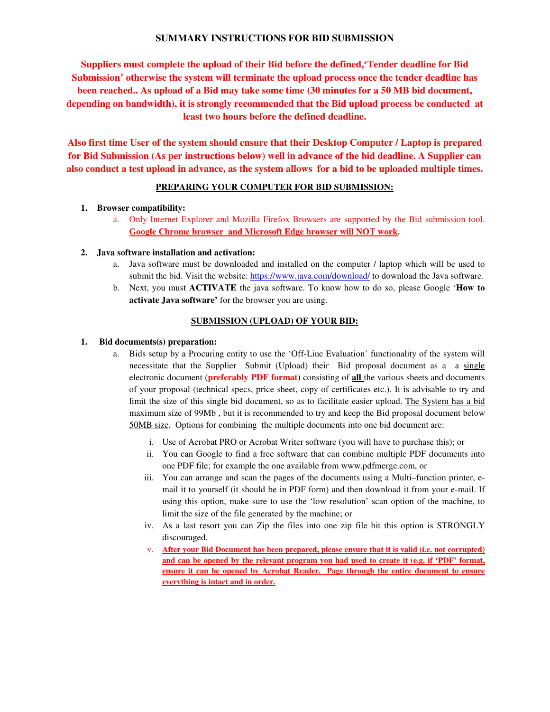# **SUMMARY INSTRUCTIONS FOR BID SUBMISSION**

**Suppliers must complete the upload of their Bid before the defined,'Tender deadline for Bid Submission' otherwise the system will terminate the upload process once the tender deadline has been reached.. As upload of a Bid may take some time (30 minutes for a 50 MB bid document, depending on bandwidth), it is strongly recommended that the Bid upload process be conducted at least two hours before the defined deadline.** 

**Also first time User of the system should ensure that their Desktop Computer / Laptop is prepared for Bid Submission (As per instructions below) well in advance of the bid deadline. A Supplier can also conduct a test upload in advance, as the system allows for a bid to be uploaded multiple times.** 

### **PREPARING YOUR COMPUTER FOR BID SUBMISSION:**

### **1. Browser compatibility:**

a. Only Internet Explorer and Mozilla Firefox Browsers are supported by the Bid submission tool. **Google Chrome browser and Microsoft Edge browser will NOT work.**

### **2. Java software installation and activation:**

- a. Java software must be downloaded and installed on the computer / laptop which will be used to submit the bid. Visit the website: https://www.java.com/download/ to download the Java software*.*
- b. Next, you must **ACTIVATE** the java software. To know how to do so, please Google '**How to activate Java software'** for the browser you are using.

# **SUBMISSION (UPLOAD) OF YOUR BID:**

### **1. Bid documents(s) preparation:**

- a. Bids setup by a Procuring entity to use the 'Off-Line Evaluation' functionality of the system will necessitate that the Supplier Submit (Upload) their Bid proposal document as a a single electronic document (**preferably PDF format**) consisting of **all** the various sheets and documents of your proposal (technical specs, price sheet, copy of certificates etc.). It is advisable to try and limit the size of this single bid document, so as to facilitate easier upload. The System has a bid maximum size of 99Mb , but it is recommended to try and keep the Bid proposal document below 50MB size. Options for combining the multiple documents into one bid document are:
	- i. Use of Acrobat PRO or Acrobat Writer software (you will have to purchase this); or
	- ii. You can Google to find a free software that can combine multiple PDF documents into one PDF file; for example the one available from www.pdfmerge.com, or
	- iii. You can arrange and scan the pages of the documents using a Multi–function printer, email it to yourself (it should be in PDF form) and then download it from your e-mail. If using this option, make sure to use the 'low resolution' scan option of the machine, to limit the size of the file generated by the machine; or
	- iv. As a last resort you can Zip the files into one zip file bit this option is STRONGLY discouraged.
	- v. **After your Bid Document has been prepared, please ensure that it is valid (i.e. not corrupted) and can be opened by the relevant program you had used to create it (e.g. if 'PDF' format, ensure it can be opened by Acrobat Reader. Page through the entire document to ensure everything is intact and in order.**